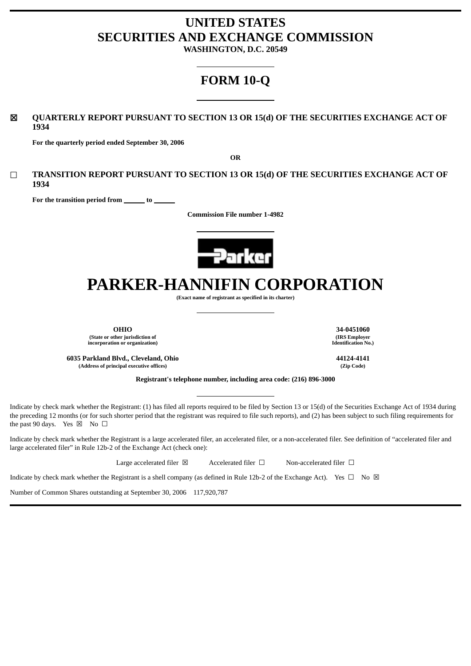# **UNITED STATES SECURITIES AND EXCHANGE COMMISSION**

**WASHINGTON, D.C. 20549**

# **FORM 10-Q**

# ☒ **QUARTERLY REPORT PURSUANT TO SECTION 13 OR 15(d) OF THE SECURITIES EXCHANGE ACT OF 1934**

**For the quarterly period ended September 30, 2006**

**OR**

# ☐ **TRANSITION REPORT PURSUANT TO SECTION 13 OR 15(d) OF THE SECURITIES EXCHANGE ACT OF 1934**

For the transition period from \_\_\_\_\_\_\_ to \_\_\_

**Commission File number 1-4982**



# **PARKER-HANNIFIN CORPORATION**

**(Exact name of registrant as specified in its charter)**

**OHIO 34-0451060 (State or other jurisdiction of incorporation or organization)**

**6035 Parkland Blvd., Cleveland, Ohio 44124-4141 (Address of principal executive offices) (Zip Code)**

**(IRS Employer Identification No.)**

**Registrant's telephone number, including area code: (216) 896-3000**

Indicate by check mark whether the Registrant: (1) has filed all reports required to be filed by Section 13 or 15(d) of the Securities Exchange Act of 1934 during the preceding 12 months (or for such shorter period that the registrant was required to file such reports), and (2) has been subject to such filing requirements for the past 90 days. Yes  $\boxtimes$  No  $\Box$ 

Indicate by check mark whether the Registrant is a large accelerated filer, an accelerated filer, or a non-accelerated filer. See definition of "accelerated filer and large accelerated filer" in Rule 12b-2 of the Exchange Act (check one):

Large accelerated filer ⊠ Accelerated filer □ Non-accelerated filer □

Indicate by check mark whether the Registrant is a shell company (as defined in Rule 12b-2 of the Exchange Act). Yes  $\Box$  No  $\boxtimes$ 

Number of Common Shares outstanding at September 30, 2006 117,920,787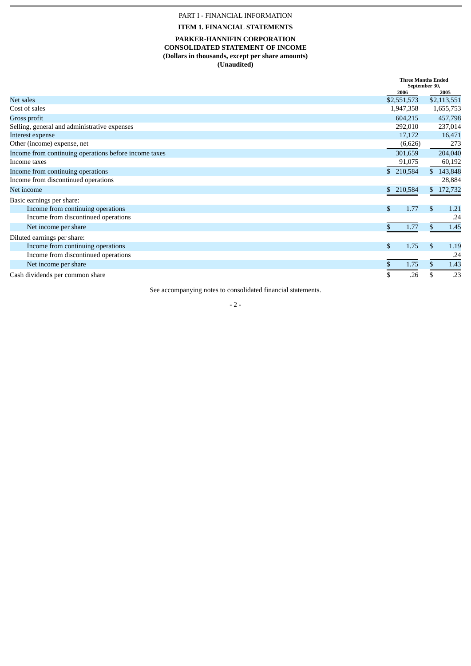# PART I - FINANCIAL INFORMATION

**ITEM 1. FINANCIAL STATEMENTS**

# **PARKER-HANNIFIN CORPORATION CONSOLIDATED STATEMENT OF INCOME (Dollars in thousands, except per share amounts) (Unaudited)**

|                                                       |     | <b>Three Months Ended</b><br>September 30, |     |             |
|-------------------------------------------------------|-----|--------------------------------------------|-----|-------------|
|                                                       |     | 2006                                       |     | 2005        |
| Net sales                                             |     | \$2,551,573                                |     | \$2,113,551 |
| Cost of sales                                         |     | 1,947,358                                  |     | 1,655,753   |
| Gross profit                                          |     | 604,215                                    |     | 457,798     |
| Selling, general and administrative expenses          |     | 292,010                                    |     | 237,014     |
| Interest expense                                      |     | 17,172                                     |     | 16,471      |
| Other (income) expense, net                           |     | (6,626)                                    |     | 273         |
| Income from continuing operations before income taxes |     | 301,659                                    |     | 204,040     |
| Income taxes                                          |     | 91,075                                     |     | 60,192      |
| Income from continuing operations                     |     | \$210,584                                  | \$  | 143,848     |
| Income from discontinued operations                   |     |                                            |     | 28,884      |
| Net income                                            | \$. | 210,584                                    | \$  | 172,732     |
| Basic earnings per share:                             |     |                                            |     |             |
| Income from continuing operations                     | \$  | 1.77                                       | \$. | 1.21        |
| Income from discontinued operations                   |     |                                            |     | .24         |
| Net income per share                                  | S   | 1.77                                       | S.  | 1.45        |
| Diluted earnings per share:                           |     |                                            |     |             |
| Income from continuing operations                     | \$  | 1.75                                       | \$. | 1.19        |
| Income from discontinued operations                   |     |                                            |     | .24         |
| Net income per share                                  | \$  | 1.75                                       | S.  | 1.43        |
| Cash dividends per common share                       | \$  | .26                                        | \$  | .23         |

See accompanying notes to consolidated financial statements.

 $- 2 -$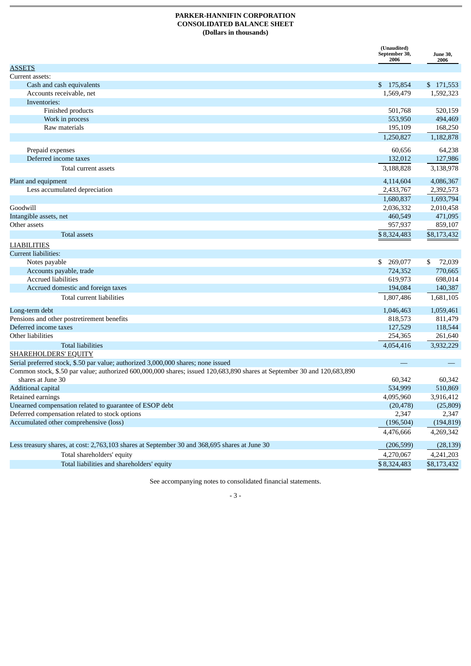# **PARKER-HANNIFIN CORPORATION CONSOLIDATED BALANCE SHEET (Dollars in thousands)**

|                                                                                                                         | (Unaudited)<br>September 30,<br>2006 | <b>June 30,</b><br>2006 |
|-------------------------------------------------------------------------------------------------------------------------|--------------------------------------|-------------------------|
| <b>ASSETS</b>                                                                                                           |                                      |                         |
| Current assets:                                                                                                         |                                      |                         |
| Cash and cash equivalents                                                                                               | \$175,854                            | \$171,553               |
| Accounts receivable, net                                                                                                | 1,569,479                            | 1,592,323               |
| Inventories:                                                                                                            |                                      |                         |
| Finished products                                                                                                       | 501,768                              | 520,159                 |
| Work in process                                                                                                         | 553,950                              | 494,469                 |
| Raw materials                                                                                                           | 195,109                              | 168,250                 |
|                                                                                                                         | 1.250.827                            | 1,182,878               |
| Prepaid expenses                                                                                                        | 60,656                               | 64,238                  |
| Deferred income taxes                                                                                                   | 132,012                              | 127,986                 |
| Total current assets                                                                                                    | 3,188,828                            | 3,138,978               |
| Plant and equipment                                                                                                     | 4,114,604                            | 4,086,367               |
| Less accumulated depreciation                                                                                           | 2,433,767                            | 2,392,573               |
|                                                                                                                         | 1,680,837                            | 1,693,794               |
| Goodwill                                                                                                                | 2,036,332                            | 2,010,458               |
| Intangible assets, net                                                                                                  | 460,549                              | 471,095                 |
| Other assets                                                                                                            | 957,937                              | 859,107                 |
| <b>Total assets</b>                                                                                                     | \$8,324,483                          | \$8,173,432             |
|                                                                                                                         |                                      |                         |
| <b>LIABILITIES</b>                                                                                                      |                                      |                         |
| <b>Current liabilities:</b>                                                                                             |                                      |                         |
| Notes payable                                                                                                           | 269,077<br>\$                        | \$<br>72,039            |
| Accounts payable, trade                                                                                                 | 724,352                              | 770,665                 |
| <b>Accrued liabilities</b>                                                                                              | 619,973                              | 698,014                 |
| Accrued domestic and foreign taxes                                                                                      | 194,084                              | 140,387                 |
| Total current liabilities                                                                                               | 1,807,486                            | 1,681,105               |
| Long-term debt                                                                                                          | 1,046,463                            | 1,059,461               |
| Pensions and other postretirement benefits                                                                              | 818,573                              | 811,479                 |
| Deferred income taxes                                                                                                   | 127,529                              | 118,544                 |
| Other liabilities                                                                                                       | 254,365                              | 261,640                 |
| <b>Total liabilities</b>                                                                                                | 4,054,416                            | 3,932,229               |
| <b>SHAREHOLDERS' EQUITY</b>                                                                                             |                                      |                         |
| Serial preferred stock, \$.50 par value; authorized 3,000,000 shares; none issued                                       |                                      |                         |
| Common stock, \$.50 par value; authorized 600,000,000 shares; issued 120,683,890 shares at September 30 and 120,683,890 |                                      |                         |
| shares at June 30                                                                                                       | 60,342                               | 60,342                  |
| <b>Additional capital</b>                                                                                               | 534,999                              | 510,869                 |
| Retained earnings                                                                                                       | 4,095,960                            | 3,916,412               |
| Unearned compensation related to guarantee of ESOP debt                                                                 | (20, 478)                            | (25,809)                |
| Deferred compensation related to stock options                                                                          | 2,347                                | 2,347                   |
| Accumulated other comprehensive (loss)                                                                                  | (196, 504)                           | (194, 819)              |
|                                                                                                                         | 4,476,666                            | 4,269,342               |
| Less treasury shares, at cost: 2,763,103 shares at September 30 and 368,695 shares at June 30                           | (206, 599)                           | (28, 139)               |
| Total shareholders' equity                                                                                              | 4,270,067                            | 4,241,203               |
| Total liabilities and shareholders' equity                                                                              | \$8,324,483                          | \$8,173,432             |

See accompanying notes to consolidated financial statements.

- 3 -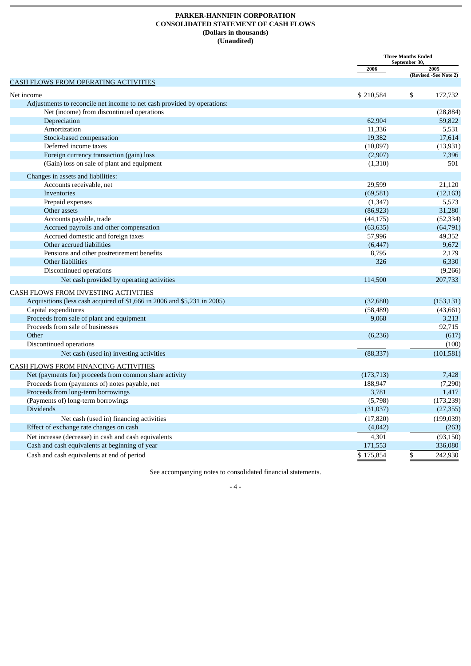# **PARKER-HANNIFIN CORPORATION CONSOLIDATED STATEMENT OF CASH FLOWS (Dollars in thousands) (Unaudited)**

|                                                                          |            | <b>Three Months Ended</b><br>September 30, |                       |  |
|--------------------------------------------------------------------------|------------|--------------------------------------------|-----------------------|--|
|                                                                          | 2006       |                                            | 2005                  |  |
| CASH FLOWS FROM OPERATING ACTIVITIES                                     |            |                                            | (Revised -See Note 2) |  |
|                                                                          |            |                                            |                       |  |
| Net income                                                               | \$210,584  | \$                                         | 172,732               |  |
| Adjustments to reconcile net income to net cash provided by operations:  |            |                                            |                       |  |
| Net (income) from discontinued operations                                |            |                                            | (28, 884)             |  |
| Depreciation                                                             | 62,904     |                                            | 59,822                |  |
| Amortization                                                             | 11,336     |                                            | 5,531                 |  |
| Stock-based compensation                                                 | 19,382     |                                            | 17,614                |  |
| Deferred income taxes                                                    | (10,097)   |                                            | (13, 931)             |  |
| Foreign currency transaction (gain) loss                                 | (2,907)    |                                            | 7,396                 |  |
| (Gain) loss on sale of plant and equipment                               | (1,310)    |                                            | 501                   |  |
| Changes in assets and liabilities:                                       |            |                                            |                       |  |
| Accounts receivable, net                                                 | 29.599     |                                            | 21,120                |  |
| Inventories                                                              | (69, 581)  |                                            | (12, 163)             |  |
| Prepaid expenses                                                         | (1, 347)   |                                            | 5,573                 |  |
| Other assets                                                             | (86, 923)  |                                            | 31,280                |  |
| Accounts payable, trade                                                  | (44, 175)  |                                            | (52, 334)             |  |
| Accrued payrolls and other compensation                                  | (63, 635)  |                                            | (64, 791)             |  |
| Accrued domestic and foreign taxes                                       | 57,996     |                                            | 49,352                |  |
| Other accrued liabilities                                                | (6, 447)   |                                            | 9,672                 |  |
| Pensions and other postretirement benefits                               | 8,795      |                                            | 2,179                 |  |
| Other liabilities                                                        | 326        |                                            | 6,330                 |  |
| Discontinued operations                                                  |            |                                            | (9, 266)              |  |
| Net cash provided by operating activities                                | 114,500    |                                            | 207,733               |  |
| CASH FLOWS FROM INVESTING ACTIVITIES                                     |            |                                            |                       |  |
| Acquisitions (less cash acquired of \$1,666 in 2006 and \$5,231 in 2005) | (32,680)   |                                            | (153, 131)            |  |
| Capital expenditures                                                     | (58, 489)  |                                            | (43,661)              |  |
| Proceeds from sale of plant and equipment                                | 9,068      |                                            | 3,213                 |  |
| Proceeds from sale of businesses                                         |            |                                            | 92,715                |  |
| Other                                                                    | (6,236)    |                                            | (617)                 |  |
| Discontinued operations                                                  |            |                                            | (100)                 |  |
| Net cash (used in) investing activities                                  | (88, 337)  |                                            | (101, 581)            |  |
| CASH FLOWS FROM FINANCING ACTIVITIES                                     |            |                                            |                       |  |
| Net (payments for) proceeds from common share activity                   | (173, 713) |                                            | 7,428                 |  |
| Proceeds from (payments of) notes payable, net                           | 188,947    |                                            | (7,290)               |  |
| Proceeds from long-term borrowings                                       | 3,781      |                                            | 1,417                 |  |
| (Payments of) long-term borrowings                                       | (5,798)    |                                            | (173, 239)            |  |
| <b>Dividends</b>                                                         | (31,037)   |                                            | (27, 355)             |  |
| Net cash (used in) financing activities                                  | (17, 820)  |                                            | (199, 039)            |  |
| Effect of exchange rate changes on cash                                  | (4,042)    |                                            | (263)                 |  |
|                                                                          | 4,301      |                                            |                       |  |
| Net increase (decrease) in cash and cash equivalents                     |            |                                            | (93, 150)             |  |
| Cash and cash equivalents at beginning of year                           | 171,553    |                                            | 336,080               |  |
| Cash and cash equivalents at end of period                               | \$175,854  | \$                                         | 242,930               |  |

See accompanying notes to consolidated financial statements.

#### - 4 -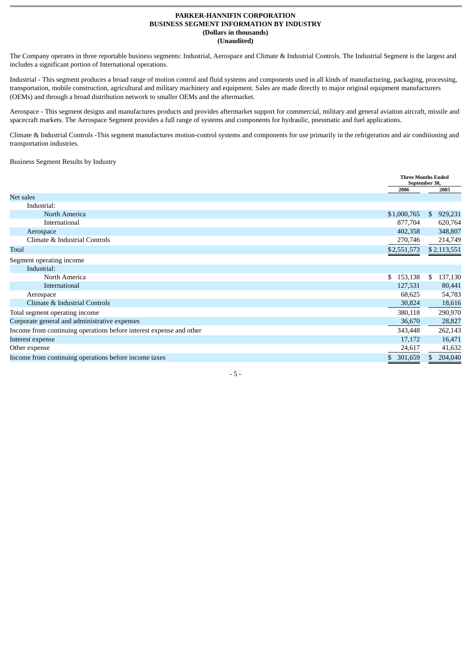#### **PARKER-HANNIFIN CORPORATION BUSINESS SEGMENT INFORMATION BY INDUSTRY (Dollars in thousands) (Unaudited)**

The Company operates in three reportable business segments: Industrial, Aerospace and Climate & Industrial Controls. The Industrial Segment is the largest and includes a significant portion of International operations.

Industrial - This segment produces a broad range of motion control and fluid systems and components used in all kinds of manufacturing, packaging, processing, transportation, mobile construction, agricultural and military machinery and equipment. Sales are made directly to major original equipment manufacturers (OEMs) and through a broad distribution network to smaller OEMs and the aftermarket.

Aerospace - This segment designs and manufactures products and provides aftermarket support for commercial, military and general aviation aircraft, missile and spacecraft markets. The Aerospace Segment provides a full range of systems and components for hydraulic, pneumatic and fuel applications.

Climate & Industrial Controls -This segment manufactures motion-control systems and components for use primarily in the refrigeration and air conditioning and transportation industries.

#### Business Segment Results by Industry

|                                                                     |               | <b>Three Months Ended</b><br>September 30, |
|---------------------------------------------------------------------|---------------|--------------------------------------------|
|                                                                     | 2006          | 2005                                       |
| Net sales                                                           |               |                                            |
| Industrial:                                                         |               |                                            |
| North America                                                       | \$1,000,765   | 929,231<br>\$                              |
| International                                                       | 877,704       | 620,764                                    |
| Aerospace                                                           | 402,358       | 348,807                                    |
| Climate & Industrial Controls                                       | 270,746       | 214,749                                    |
| Total                                                               | \$2,551,573   | \$2,113,551                                |
| Segment operating income                                            |               |                                            |
| Industrial:                                                         |               |                                            |
| North America                                                       | \$<br>153,138 | 137,130<br>\$                              |
| International                                                       | 127,531       | 80,441                                     |
| Aerospace                                                           | 68,625        | 54,783                                     |
| Climate & Industrial Controls                                       | 30,824        | 18,616                                     |
| Total segment operating income                                      | 380,118       | 290,970                                    |
| Corporate general and administrative expenses                       | 36,670        | 28,827                                     |
| Income from continuing operations before interest expense and other | 343,448       | 262,143                                    |
| Interest expense                                                    | 17,172        | 16,471                                     |
| Other expense                                                       | 24,617        | 41,632                                     |
| Income from continuing operations before income taxes               | 301,659<br>\$ | 204,040<br>\$                              |

- 5 -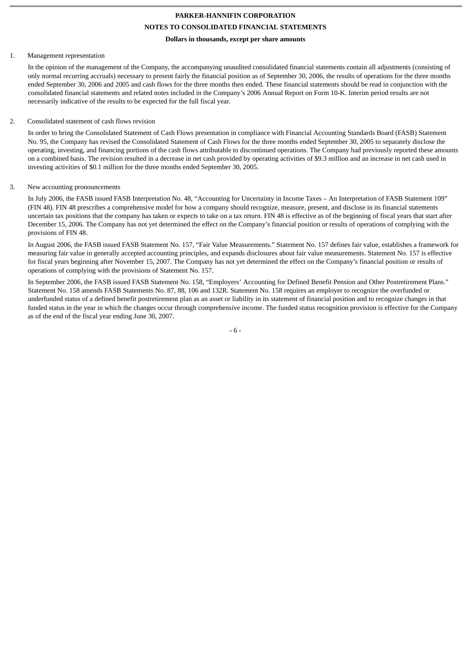# **PARKER-HANNIFIN CORPORATION NOTES TO CONSOLIDATED FINANCIAL STATEMENTS**

#### **Dollars in thousands, except per share amounts**

#### 1. Management representation

In the opinion of the management of the Company, the accompanying unaudited consolidated financial statements contain all adjustments (consisting of only normal recurring accruals) necessary to present fairly the financial position as of September 30, 2006, the results of operations for the three months ended September 30, 2006 and 2005 and cash flows for the three months then ended. These financial statements should be read in conjunction with the consolidated financial statements and related notes included in the Company's 2006 Annual Report on Form 10-K. Interim period results are not necessarily indicative of the results to be expected for the full fiscal year.

#### 2. Consolidated statement of cash flows revision

In order to bring the Consolidated Statement of Cash Flows presentation in compliance with Financial Accounting Standards Board (FASB) Statement No. 95, the Company has revised the Consolidated Statement of Cash Flows for the three months ended September 30, 2005 to separately disclose the operating, investing, and financing portions of the cash flows attributable to discontinued operations. The Company had previously reported these amounts on a combined basis. The revision resulted in a decrease in net cash provided by operating activities of \$9.3 million and an increase in net cash used in investing activities of \$0.1 million for the three months ended September 30, 2005.

#### 3. New accounting pronouncements

In July 2006, the FASB issued FASB Interpretation No. 48, "Accounting for Uncertainty in Income Taxes – An Interpretation of FASB Statement 109" (FIN 48). FIN 48 prescribes a comprehensive model for how a company should recognize, measure, present, and disclose in its financial statements uncertain tax positions that the company has taken or expects to take on a tax return. FIN 48 is effective as of the beginning of fiscal years that start after December 15, 2006. The Company has not yet determined the effect on the Company's financial position or results of operations of complying with the provisions of FIN 48.

In August 2006, the FASB issued FASB Statement No. 157, "Fair Value Measurements." Statement No. 157 defines fair value, establishes a framework for measuring fair value in generally accepted accounting principles, and expands disclosures about fair value measurements. Statement No. 157 is effective for fiscal years beginning after November 15, 2007. The Company has not yet determined the effect on the Company's financial position or results of operations of complying with the provisions of Statement No. 157.

In September 2006, the FASB issued FASB Statement No. 158, "Employers' Accounting for Defined Benefit Pension and Other Postretirement Plans." Statement No. 158 amends FASB Statements No. 87, 88, 106 and 132R. Statement No. 158 requires an employer to recognize the overfunded or underfunded status of a defined benefit postretirement plan as an asset or liability in its statement of financial position and to recognize changes in that funded status in the year in which the changes occur through comprehensive income. The funded status recognition provision is effective for the Company as of the end of the fiscal year ending June 30, 2007.

- 6 -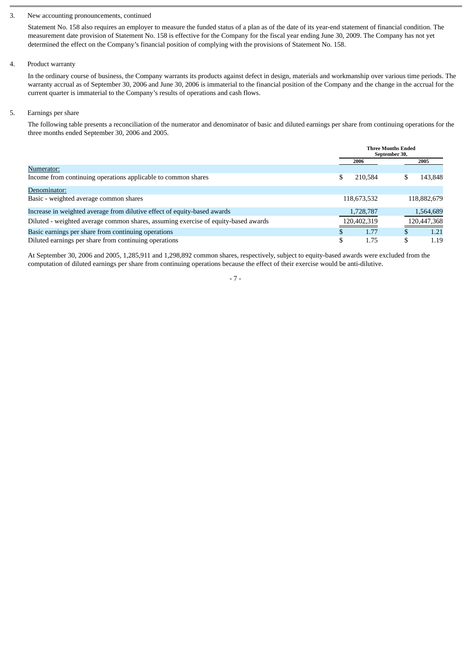# 3. New accounting pronouncements, continued

Statement No. 158 also requires an employer to measure the funded status of a plan as of the date of its year-end statement of financial condition. The measurement date provision of Statement No. 158 is effective for the Company for the fiscal year ending June 30, 2009. The Company has not yet determined the effect on the Company's financial position of complying with the provisions of Statement No. 158.

#### 4. Product warranty

In the ordinary course of business, the Company warrants its products against defect in design, materials and workmanship over various time periods. The warranty accrual as of September 30, 2006 and June 30, 2006 is immaterial to the financial position of the Company and the change in the accrual for the current quarter is immaterial to the Company's results of operations and cash flows.

#### 5. Earnings per share

The following table presents a reconciliation of the numerator and denominator of basic and diluted earnings per share from continuing operations for the three months ended September 30, 2006 and 2005.

|                                                                                    | <b>Three Months Ended</b><br>September 30, |             |  |    |             |  |      |
|------------------------------------------------------------------------------------|--------------------------------------------|-------------|--|----|-------------|--|------|
|                                                                                    |                                            | 2006        |  |    |             |  | 2005 |
| Numerator:                                                                         |                                            |             |  |    |             |  |      |
| Income from continuing operations applicable to common shares                      | \$                                         | 210.584     |  | \$ | 143.848     |  |      |
| Denominator:                                                                       |                                            |             |  |    |             |  |      |
| Basic - weighted average common shares                                             |                                            | 118,673,532 |  |    | 118,882,679 |  |      |
| Increase in weighted average from dilutive effect of equity-based awards           |                                            | 1,728,787   |  |    | 1,564,689   |  |      |
| Diluted - weighted average common shares, assuming exercise of equity-based awards |                                            | 120,402,319 |  |    | 120,447,368 |  |      |
| Basic earnings per share from continuing operations                                |                                            | 1.77        |  | S  | 1.21        |  |      |
| Diluted earnings per share from continuing operations                              | \$                                         | 1.75        |  | \$ | 1.19        |  |      |

At September 30, 2006 and 2005, 1,285,911 and 1,298,892 common shares, respectively, subject to equity-based awards were excluded from the computation of diluted earnings per share from continuing operations because the effect of their exercise would be anti-dilutive.

- 7 -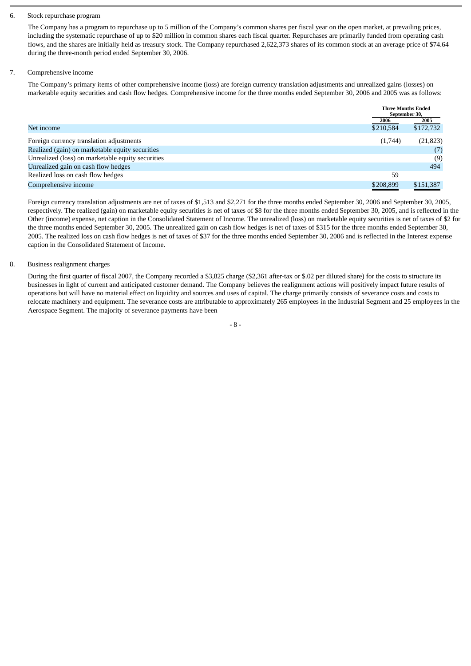#### 6. Stock repurchase program

The Company has a program to repurchase up to 5 million of the Company's common shares per fiscal year on the open market, at prevailing prices, including the systematic repurchase of up to \$20 million in common shares each fiscal quarter. Repurchases are primarily funded from operating cash flows, and the shares are initially held as treasury stock. The Company repurchased 2,622,373 shares of its common stock at an average price of \$74.64 during the three-month period ended September 30, 2006.

#### 7. Comprehensive income

The Company's primary items of other comprehensive income (loss) are foreign currency translation adjustments and unrealized gains (losses) on marketable equity securities and cash flow hedges. Comprehensive income for the three months ended September 30, 2006 and 2005 was as follows:

|                                                   | <b>Three Months Ended</b><br>September 30, |           |
|---------------------------------------------------|--------------------------------------------|-----------|
|                                                   | 2006                                       | 2005      |
| Net income                                        | \$210,584                                  | \$172,732 |
| Foreign currency translation adjustments          | (1,744)                                    | (21, 823) |
| Realized (gain) on marketable equity securities   |                                            | (7)       |
| Unrealized (loss) on marketable equity securities |                                            | (9)       |
| Unrealized gain on cash flow hedges               |                                            | 494       |
| Realized loss on cash flow hedges                 | 59                                         |           |
| Comprehensive income                              | \$208.899                                  | \$151,387 |

Foreign currency translation adjustments are net of taxes of \$1,513 and \$2,271 for the three months ended September 30, 2006 and September 30, 2005, respectively. The realized (gain) on marketable equity securities is net of taxes of \$8 for the three months ended September 30, 2005, and is reflected in the Other (income) expense, net caption in the Consolidated Statement of Income. The unrealized (loss) on marketable equity securities is net of taxes of \$2 for the three months ended September 30, 2005. The unrealized gain on cash flow hedges is net of taxes of \$315 for the three months ended September 30, 2005. The realized loss on cash flow hedges is net of taxes of \$37 for the three months ended September 30, 2006 and is reflected in the Interest expense caption in the Consolidated Statement of Income.

#### 8. Business realignment charges

During the first quarter of fiscal 2007, the Company recorded a \$3,825 charge (\$2,361 after-tax or \$.02 per diluted share) for the costs to structure its businesses in light of current and anticipated customer demand. The Company believes the realignment actions will positively impact future results of operations but will have no material effect on liquidity and sources and uses of capital. The charge primarily consists of severance costs and costs to relocate machinery and equipment. The severance costs are attributable to approximately 265 employees in the Industrial Segment and 25 employees in the Aerospace Segment. The majority of severance payments have been

- 8 -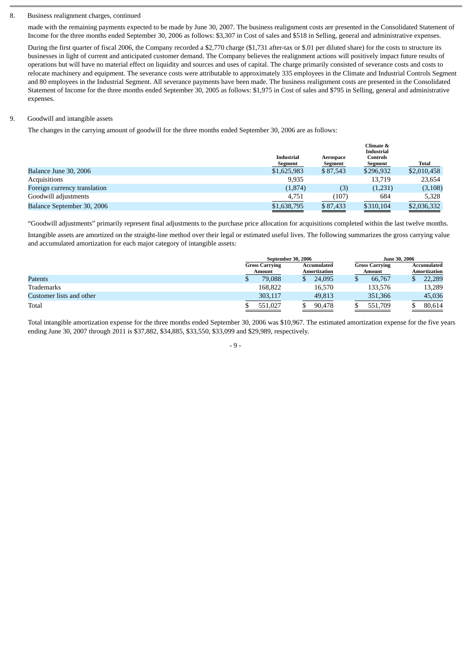#### 8. Business realignment charges, continued

made with the remaining payments expected to be made by June 30, 2007. The business realignment costs are presented in the Consolidated Statement of Income for the three months ended September 30, 2006 as follows: \$3,307 in Cost of sales and \$518 in Selling, general and administrative expenses.

During the first quarter of fiscal 2006, the Company recorded a \$2,770 charge (\$1,731 after-tax or \$.01 per diluted share) for the costs to structure its businesses in light of current and anticipated customer demand. The Company believes the realignment actions will positively impact future results of operations but will have no material effect on liquidity and sources and uses of capital. The charge primarily consisted of severance costs and costs to relocate machinery and equipment. The severance costs were attributable to approximately 335 employees in the Climate and Industrial Controls Segment and 80 employees in the Industrial Segment. All severance payments have been made. The business realignment costs are presented in the Consolidated Statement of Income for the three months ended September 30, 2005 as follows: \$1,975 in Cost of sales and \$795 in Selling, general and administrative expenses.

#### 9. Goodwill and intangible assets

The changes in the carrying amount of goodwill for the three months ended September 30, 2006 are as follows:

|                              | <b>Industrial</b><br>Segment | Aerospace<br>Segment | Climate &<br><b>Industrial</b><br>Controls<br>Segment | Total       |
|------------------------------|------------------------------|----------------------|-------------------------------------------------------|-------------|
| Balance June 30, 2006        | \$1,625,983                  | \$87.543             | \$296,932                                             | \$2,010,458 |
| Acquisitions                 | 9,935                        |                      | 13.719                                                | 23,654      |
| Foreign currency translation | (1,874)                      | (3)                  | (1,231)                                               | (3, 108)    |
| Goodwill adjustments         | 4,751                        | (107)                | 684                                                   | 5,328       |
| Balance September 30, 2006   | \$1,638,795                  | \$87,433             | \$310,104                                             | \$2,036,332 |

"Goodwill adjustments" primarily represent final adjustments to the purchase price allocation for acquisitions completed within the last twelve months.

Intangible assets are amortized on the straight-line method over their legal or estimated useful lives. The following summarizes the gross carrying value and accumulated amortization for each major category of intangible assets:

|                          | September 30, 2006 |                                 |                             |        | <b>June 30, 2006</b>            |         |  |                                    |  |
|--------------------------|--------------------|---------------------------------|-----------------------------|--------|---------------------------------|---------|--|------------------------------------|--|
|                          |                    | <b>Gross Carrying</b><br>Amount | Accumulated<br>Amortization |        | <b>Gross Carrying</b><br>Amount |         |  | Accumulated<br><b>Amortization</b> |  |
| Patents                  |                    | 79,088                          |                             | 24,095 |                                 | 66,767  |  | 22,289                             |  |
| Trademarks               |                    | 168.822                         |                             | 16,570 |                                 | 133.576 |  | 13,289                             |  |
| Customer lists and other |                    | 303.117                         |                             | 49,813 |                                 | 351,366 |  | 45,036                             |  |
| Total                    |                    | 551.027                         |                             | 90,478 |                                 | 551,709 |  | 80.614                             |  |

Total intangible amortization expense for the three months ended September 30, 2006 was \$10,967. The estimated amortization expense for the five years ending June 30, 2007 through 2011 is \$37,882, \$34,885, \$33,550, \$33,099 and \$29,989, respectively.

#### - 9 -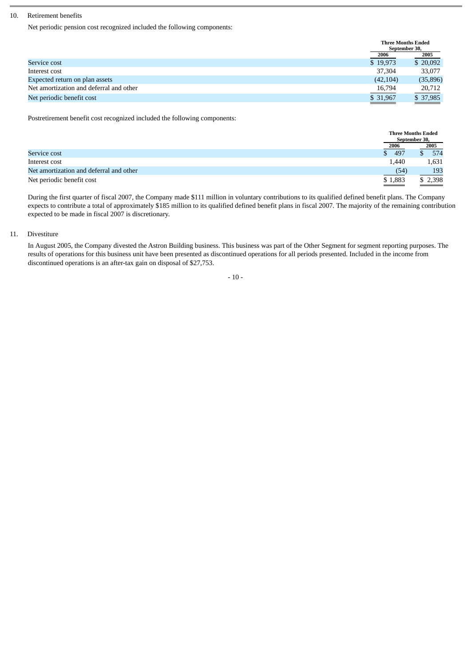#### 10. Retirement benefits

Net periodic pension cost recognized included the following components:

|                                         |           | <b>Three Months Ended</b> |
|-----------------------------------------|-----------|---------------------------|
|                                         |           | September 30,             |
|                                         | 2006      | 2005                      |
| Service cost                            | \$19,973  | \$20,092                  |
| Interest cost                           | 37,304    | 33,077                    |
| Expected return on plan assets          | (42, 104) | (35,896)                  |
| Net amortization and deferral and other | 16,794    | 20,712                    |
| Net periodic benefit cost               | \$ 31,967 | \$37,985                  |

Postretirement benefit cost recognized included the following components:

|                                         | <b>Three Months Ended</b><br>September 30, |         |  |         |
|-----------------------------------------|--------------------------------------------|---------|--|---------|
|                                         |                                            | 2006    |  | 2005    |
| Service cost                            |                                            | 497     |  | 574     |
| Interest cost                           |                                            | 1.440   |  | 1,631   |
| Net amortization and deferral and other |                                            | (54)    |  | 193     |
| Net periodic benefit cost               |                                            | \$1,883 |  | \$2,398 |

During the first quarter of fiscal 2007, the Company made \$111 million in voluntary contributions to its qualified defined benefit plans. The Company expects to contribute a total of approximately \$185 million to its qualified defined benefit plans in fiscal 2007. The majority of the remaining contribution expected to be made in fiscal 2007 is discretionary.

#### 11. Divestiture

In August 2005, the Company divested the Astron Building business. This business was part of the Other Segment for segment reporting purposes. The results of operations for this business unit have been presented as discontinued operations for all periods presented. Included in the income from discontinued operations is an after-tax gain on disposal of \$27,753.

- 10 -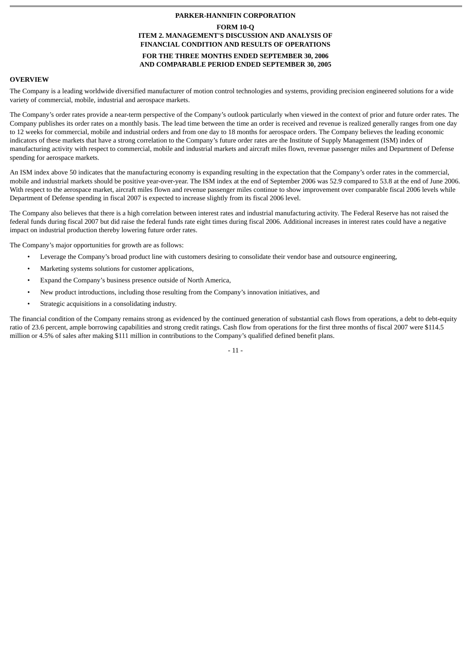# **PARKER-HANNIFIN CORPORATION**

#### **FORM 10-Q ITEM 2. MANAGEMENT'S DISCUSSION AND ANALYSIS OF FINANCIAL CONDITION AND RESULTS OF OPERATIONS**

# **FOR THE THREE MONTHS ENDED SEPTEMBER 30, 2006 AND COMPARABLE PERIOD ENDED SEPTEMBER 30, 2005**

#### **OVERVIEW**

The Company is a leading worldwide diversified manufacturer of motion control technologies and systems, providing precision engineered solutions for a wide variety of commercial, mobile, industrial and aerospace markets.

The Company's order rates provide a near-term perspective of the Company's outlook particularly when viewed in the context of prior and future order rates. The Company publishes its order rates on a monthly basis. The lead time between the time an order is received and revenue is realized generally ranges from one day to 12 weeks for commercial, mobile and industrial orders and from one day to 18 months for aerospace orders. The Company believes the leading economic indicators of these markets that have a strong correlation to the Company's future order rates are the Institute of Supply Management (ISM) index of manufacturing activity with respect to commercial, mobile and industrial markets and aircraft miles flown, revenue passenger miles and Department of Defense spending for aerospace markets.

An ISM index above 50 indicates that the manufacturing economy is expanding resulting in the expectation that the Company's order rates in the commercial, mobile and industrial markets should be positive year-over-year. The ISM index at the end of September 2006 was 52.9 compared to 53.8 at the end of June 2006. With respect to the aerospace market, aircraft miles flown and revenue passenger miles continue to show improvement over comparable fiscal 2006 levels while Department of Defense spending in fiscal 2007 is expected to increase slightly from its fiscal 2006 level.

The Company also believes that there is a high correlation between interest rates and industrial manufacturing activity. The Federal Reserve has not raised the federal funds during fiscal 2007 but did raise the federal funds rate eight times during fiscal 2006. Additional increases in interest rates could have a negative impact on industrial production thereby lowering future order rates.

The Company's major opportunities for growth are as follows:

- Leverage the Company's broad product line with customers desiring to consolidate their vendor base and outsource engineering,
- Marketing systems solutions for customer applications,
- Expand the Company's business presence outside of North America,
- New product introductions, including those resulting from the Company's innovation initiatives, and
- Strategic acquisitions in a consolidating industry.

The financial condition of the Company remains strong as evidenced by the continued generation of substantial cash flows from operations, a debt to debt-equity ratio of 23.6 percent, ample borrowing capabilities and strong credit ratings. Cash flow from operations for the first three months of fiscal 2007 were \$114.5 million or 4.5% of sales after making \$111 million in contributions to the Company's qualified defined benefit plans.

 $-11-$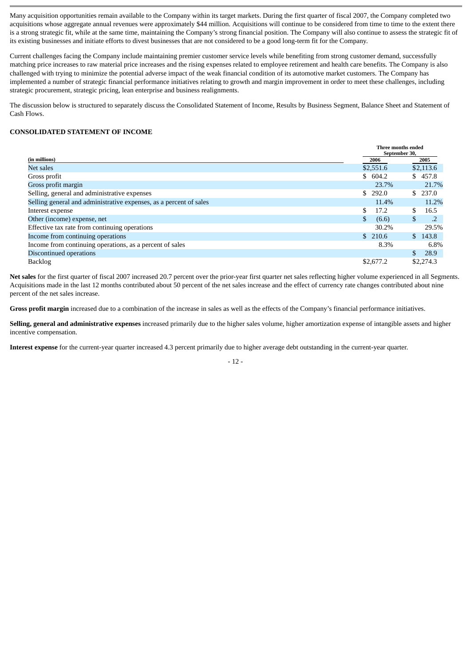Many acquisition opportunities remain available to the Company within its target markets. During the first quarter of fiscal 2007, the Company completed two acquisitions whose aggregate annual revenues were approximately \$44 million. Acquisitions will continue to be considered from time to time to the extent there is a strong strategic fit, while at the same time, maintaining the Company's strong financial position. The Company will also continue to assess the strategic fit of its existing businesses and initiate efforts to divest businesses that are not considered to be a good long-term fit for the Company.

Current challenges facing the Company include maintaining premier customer service levels while benefiting from strong customer demand, successfully matching price increases to raw material price increases and the rising expenses related to employee retirement and health care benefits. The Company is also challenged with trying to minimize the potential adverse impact of the weak financial condition of its automotive market customers. The Company has implemented a number of strategic financial performance initiatives relating to growth and margin improvement in order to meet these challenges, including strategic procurement, strategic pricing, lean enterprise and business realignments.

The discussion below is structured to separately discuss the Consolidated Statement of Income, Results by Business Segment, Balance Sheet and Statement of Cash Flows.

### **CONSOLIDATED STATEMENT OF INCOME**

|                                                                    | Three months ended |                      |
|--------------------------------------------------------------------|--------------------|----------------------|
|                                                                    | September 30,      |                      |
| (in millions)                                                      | 2006               | 2005                 |
| Net sales                                                          | \$2,551.6          | \$2,113.6            |
| Gross profit                                                       | \$604.2            | \$457.8              |
| Gross profit margin                                                | 23.7%              | 21.7%                |
| Selling, general and administrative expenses                       | 292.0<br>\$        | 237.0<br>\$          |
| Selling general and administrative expenses, as a percent of sales | 11.4%              | 11.2%                |
| Interest expense                                                   | \$<br>17.2         | \$<br>16.5           |
| Other (income) expense, net                                        | \$<br>(6.6)        | \$<br>$\cdot$ .2     |
| Effective tax rate from continuing operations                      | 30.2%              | 29.5%                |
| Income from continuing operations                                  | \$210.6            | \$143.8              |
| Income from continuing operations, as a percent of sales           | 8.3%               | 6.8%                 |
| Discontinued operations                                            |                    | $\mathbf{s}$<br>28.9 |
| Backlog                                                            | \$2,677.2          | \$2,274.3            |

**Net sales** for the first quarter of fiscal 2007 increased 20.7 percent over the prior-year first quarter net sales reflecting higher volume experienced in all Segments. Acquisitions made in the last 12 months contributed about 50 percent of the net sales increase and the effect of currency rate changes contributed about nine percent of the net sales increase.

Gross profit margin increased due to a combination of the increase in sales as well as the effects of the Company's financial performance initiatives.

**Selling, general and administrative expenses** increased primarily due to the higher sales volume, higher amortization expense of intangible assets and higher incentive compensation.

**Interest expense** for the current-year quarter increased 4.3 percent primarily due to higher average debt outstanding in the current-year quarter.

#### - 12 -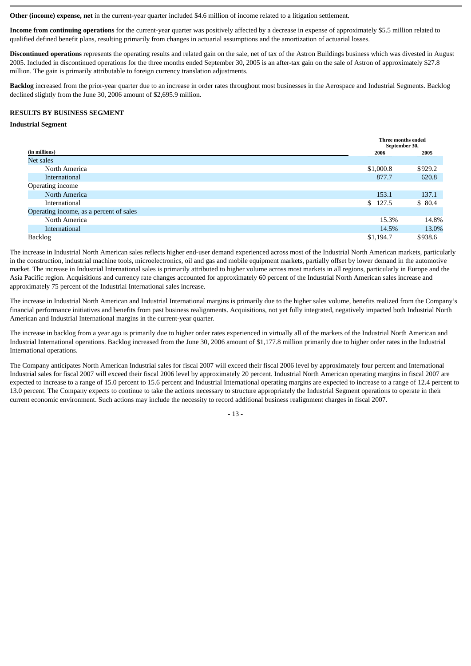**Other (income) expense, net** in the current-year quarter included \$4.6 million of income related to a litigation settlement.

**Income from continuing operations** for the current-year quarter was positively affected by a decrease in expense of approximately \$5.5 million related to qualified defined benefit plans, resulting primarily from changes in actuarial assumptions and the amortization of actuarial losses.

**Discontinued operations** represents the operating results and related gain on the sale, net of tax of the Astron Buildings business which was divested in August 2005. Included in discontinued operations for the three months ended September 30, 2005 is an after-tax gain on the sale of Astron of approximately \$27.8 million. The gain is primarily attributable to foreign currency translation adjustments.

**Backlog** increased from the prior-year quarter due to an increase in order rates throughout most businesses in the Aerospace and Industrial Segments. Backlog declined slightly from the June 30, 2006 amount of \$2,695.9 million.

#### **RESULTS BY BUSINESS SEGMENT**

#### **Industrial Segment**

|                                         | Three months ended<br>September 30, |         |
|-----------------------------------------|-------------------------------------|---------|
| (in millions)                           | 2006                                | 2005    |
| Net sales                               |                                     |         |
| North America                           | \$1,000.8                           | \$929.2 |
| International                           | 877.7                               | 620.8   |
| Operating income                        |                                     |         |
| North America                           | 153.1                               | 137.1   |
| International                           | \$<br>127.5                         | \$80.4  |
| Operating income, as a percent of sales |                                     |         |
| North America                           | 15.3%                               | 14.8%   |
| International                           | 14.5%                               | 13.0%   |
| <b>Backlog</b>                          | \$1,194.7                           | \$938.6 |

The increase in Industrial North American sales reflects higher end-user demand experienced across most of the Industrial North American markets, particularly in the construction, industrial machine tools, microelectronics, oil and gas and mobile equipment markets, partially offset by lower demand in the automotive market. The increase in Industrial International sales is primarily attributed to higher volume across most markets in all regions, particularly in Europe and the Asia Pacific region. Acquisitions and currency rate changes accounted for approximately 60 percent of the Industrial North American sales increase and approximately 75 percent of the Industrial International sales increase.

The increase in Industrial North American and Industrial International margins is primarily due to the higher sales volume, benefits realized from the Company's financial performance initiatives and benefits from past business realignments. Acquisitions, not yet fully integrated, negatively impacted both Industrial North American and Industrial International margins in the current-year quarter.

The increase in backlog from a year ago is primarily due to higher order rates experienced in virtually all of the markets of the Industrial North American and Industrial International operations. Backlog increased from the June 30, 2006 amount of \$1,177.8 million primarily due to higher order rates in the Industrial International operations.

The Company anticipates North American Industrial sales for fiscal 2007 will exceed their fiscal 2006 level by approximately four percent and International Industrial sales for fiscal 2007 will exceed their fiscal 2006 level by approximately 20 percent. Industrial North American operating margins in fiscal 2007 are expected to increase to a range of 15.0 percent to 15.6 percent and Industrial International operating margins are expected to increase to a range of 12.4 percent to 13.0 percent. The Company expects to continue to take the actions necessary to structure appropriately the Industrial Segment operations to operate in their current economic environment. Such actions may include the necessity to record additional business realignment charges in fiscal 2007.

 $-13 -$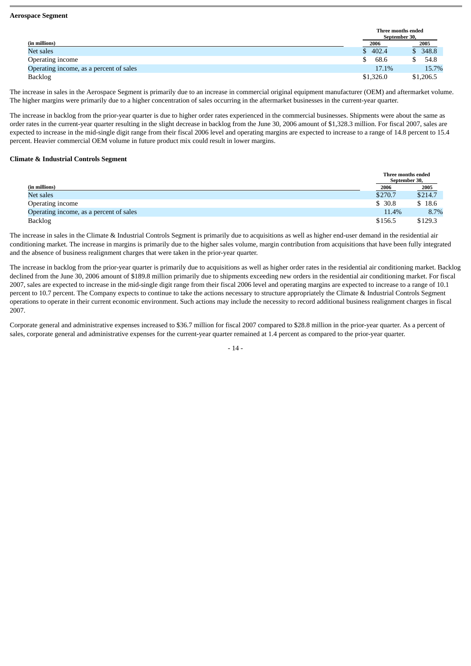#### **Aerospace Segment**

|                                         |             | Three months ended<br>September 30, |  |
|-----------------------------------------|-------------|-------------------------------------|--|
| (in millions)                           | 2006        | 2005                                |  |
| Net sales                               | 402.4<br>S. | \$348.8                             |  |
| Operating income                        | 68.6        | 54.8                                |  |
| Operating income, as a percent of sales | 17.1%       | 15.7%                               |  |
| <b>Backlog</b>                          | \$1,326.0   | \$1,206.5                           |  |

The increase in sales in the Aerospace Segment is primarily due to an increase in commercial original equipment manufacturer (OEM) and aftermarket volume. The higher margins were primarily due to a higher concentration of sales occurring in the aftermarket businesses in the current-year quarter.

The increase in backlog from the prior-year quarter is due to higher order rates experienced in the commercial businesses. Shipments were about the same as order rates in the current-year quarter resulting in the slight decrease in backlog from the June 30, 2006 amount of \$1,328.3 million. For fiscal 2007, sales are expected to increase in the mid-single digit range from their fiscal 2006 level and operating margins are expected to increase to a range of 14.8 percent to 15.4 percent. Heavier commercial OEM volume in future product mix could result in lower margins.

#### **Climate & Industrial Controls Segment**

|                                         | Three months ended |         |
|-----------------------------------------|--------------------|---------|
|                                         | September 30,      |         |
| (in millions)                           | 2006               | 2005    |
| Net sales                               | \$270.7            | \$214.7 |
| Operating income                        | \$30.8             | \$18.6  |
| Operating income, as a percent of sales | 11.4%              | 8.7%    |
| <b>Backlog</b>                          | \$156.5            | \$129.3 |

The increase in sales in the Climate & Industrial Controls Segment is primarily due to acquisitions as well as higher end-user demand in the residential air conditioning market. The increase in margins is primarily due to the higher sales volume, margin contribution from acquisitions that have been fully integrated and the absence of business realignment charges that were taken in the prior-year quarter.

The increase in backlog from the prior-year quarter is primarily due to acquisitions as well as higher order rates in the residential air conditioning market. Backlog declined from the June 30, 2006 amount of \$189.8 million primarily due to shipments exceeding new orders in the residential air conditioning market. For fiscal 2007, sales are expected to increase in the mid-single digit range from their fiscal 2006 level and operating margins are expected to increase to a range of 10.1 percent to 10.7 percent. The Company expects to continue to take the actions necessary to structure appropriately the Climate & Industrial Controls Segment operations to operate in their current economic environment. Such actions may include the necessity to record additional business realignment charges in fiscal 2007.

Corporate general and administrative expenses increased to \$36.7 million for fiscal 2007 compared to \$28.8 million in the prior-year quarter. As a percent of sales, corporate general and administrative expenses for the current-year quarter remained at 1.4 percent as compared to the prior-year quarter.

#### $-14-$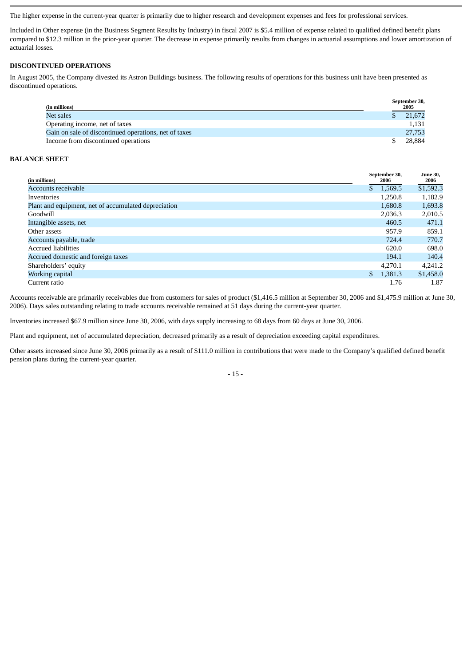The higher expense in the current-year quarter is primarily due to higher research and development expenses and fees for professional services.

Included in Other expense (in the Business Segment Results by Industry) in fiscal 2007 is \$5.4 million of expense related to qualified defined benefit plans compared to \$12.3 million in the prior-year quarter. The decrease in expense primarily results from changes in actuarial assumptions and lower amortization of actuarial losses.

# **DISCONTINUED OPERATIONS**

In August 2005, the Company divested its Astron Buildings business. The following results of operations for this business unit have been presented as discontinued operations.

| (in millions)                                         | September 30,<br>2005 |
|-------------------------------------------------------|-----------------------|
| Net sales                                             | 21,672                |
| Operating income, net of taxes                        | 1,131                 |
| Gain on sale of discontinued operations, net of taxes | 27,753                |
| Income from discontinued operations                   | 28.884                |

### **BALANCE SHEET**

| (in millions)                                        |    | September 30,<br>2006 | <b>June 30,</b><br>2006 |
|------------------------------------------------------|----|-----------------------|-------------------------|
| Accounts receivable                                  | S. | 1,569.5               | \$1,592.3               |
| Inventories                                          |    | 1,250.8               | 1,182.9                 |
| Plant and equipment, net of accumulated depreciation |    | 1,680.8               | 1,693.8                 |
| Goodwill                                             |    | 2,036.3               | 2,010.5                 |
| Intangible assets, net                               |    | 460.5                 | 471.1                   |
| Other assets                                         |    | 957.9                 | 859.1                   |
| Accounts payable, trade                              |    | 724.4                 | 770.7                   |
| Accrued liabilities                                  |    | 620.0                 | 698.0                   |
| Accrued domestic and foreign taxes                   |    | 194.1                 | 140.4                   |
| Shareholders' equity                                 |    | 4,270.1               | 4,241.2                 |
| Working capital                                      | \$ | 1,381.3               | \$1,458.0               |
| Current ratio                                        |    | 1.76                  | 1.87                    |

Accounts receivable are primarily receivables due from customers for sales of product (\$1,416.5 million at September 30, 2006 and \$1,475.9 million at June 30, 2006). Days sales outstanding relating to trade accounts receivable remained at 51 days during the current-year quarter.

Inventories increased \$67.9 million since June 30, 2006, with days supply increasing to 68 days from 60 days at June 30, 2006.

Plant and equipment, net of accumulated depreciation, decreased primarily as a result of depreciation exceeding capital expenditures.

Other assets increased since June 30, 2006 primarily as a result of \$111.0 million in contributions that were made to the Company's qualified defined benefit pension plans during the current-year quarter.

#### - 15 -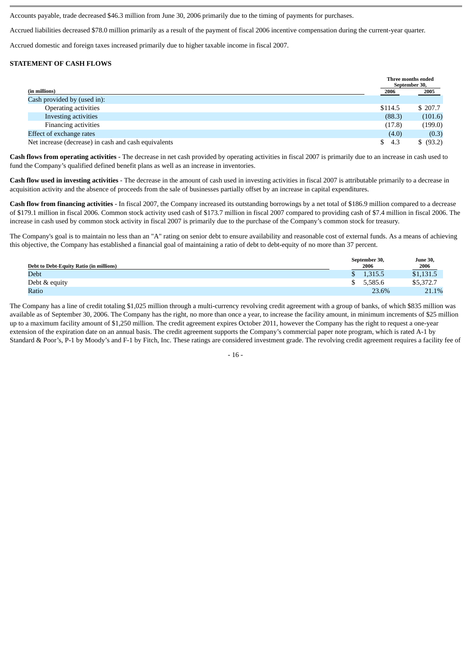Accounts payable, trade decreased \$46.3 million from June 30, 2006 primarily due to the timing of payments for purchases.

Accrued liabilities decreased \$78.0 million primarily as a result of the payment of fiscal 2006 incentive compensation during the current-year quarter.

Accrued domestic and foreign taxes increased primarily due to higher taxable income in fiscal 2007.

### **STATEMENT OF CASH FLOWS**

|                                                      |         | Three months ended<br>September 30, |  |
|------------------------------------------------------|---------|-------------------------------------|--|
| (in millions)                                        | 2006    | 2005                                |  |
| Cash provided by (used in):                          |         |                                     |  |
| <b>Operating activities</b>                          | \$114.5 | \$207.7                             |  |
| Investing activities                                 | (88.3)  | (101.6)                             |  |
| <b>Financing activities</b>                          | (17.8)  | (199.0)                             |  |
| Effect of exchange rates                             | (4.0)   | (0.3)                               |  |
| Net increase (decrease) in cash and cash equivalents | \$4.3   | \$ (93.2)                           |  |

**Cash flows from operating activities** - The decrease in net cash provided by operating activities in fiscal 2007 is primarily due to an increase in cash used to fund the Company's qualified defined benefit plans as well as an increase in inventories.

**Cash flow used in investing activities** - The decrease in the amount of cash used in investing activities in fiscal 2007 is attributable primarily to a decrease in acquisition activity and the absence of proceeds from the sale of businesses partially offset by an increase in capital expenditures.

**Cash flow from financing activities** - In fiscal 2007, the Company increased its outstanding borrowings by a net total of \$186.9 million compared to a decrease of \$179.1 million in fiscal 2006. Common stock activity used cash of \$173.7 million in fiscal 2007 compared to providing cash of \$7.4 million in fiscal 2006. The increase in cash used by common stock activity in fiscal 2007 is primarily due to the purchase of the Company's common stock for treasury.

The Company's goal is to maintain no less than an "A" rating on senior debt to ensure availability and reasonable cost of external funds. As a means of achieving this objective, the Company has established a financial goal of maintaining a ratio of debt to debt-equity of no more than 37 percent.

| Debt to Debt-Equity Ratio (in millions) | September 30,<br>2006 | <b>June 30,</b><br>2006 |
|-----------------------------------------|-----------------------|-------------------------|
| <b>Debt</b>                             | 1,315.5               | \$1,131.5               |
| Debt & equity                           | 5.585.6               | \$5,372.7               |
| Ratio                                   | 23.6%                 | 21.1%                   |

The Company has a line of credit totaling \$1,025 million through a multi-currency revolving credit agreement with a group of banks, of which \$835 million was available as of September 30, 2006. The Company has the right, no more than once a year, to increase the facility amount, in minimum increments of \$25 million up to a maximum facility amount of \$1,250 million. The credit agreement expires October 2011, however the Company has the right to request a one-year extension of the expiration date on an annual basis. The credit agreement supports the Company's commercial paper note program, which is rated A-1 by Standard & Poor's, P-1 by Moody's and F-1 by Fitch, Inc. These ratings are considered investment grade. The revolving credit agreement requires a facility fee of

- 16 -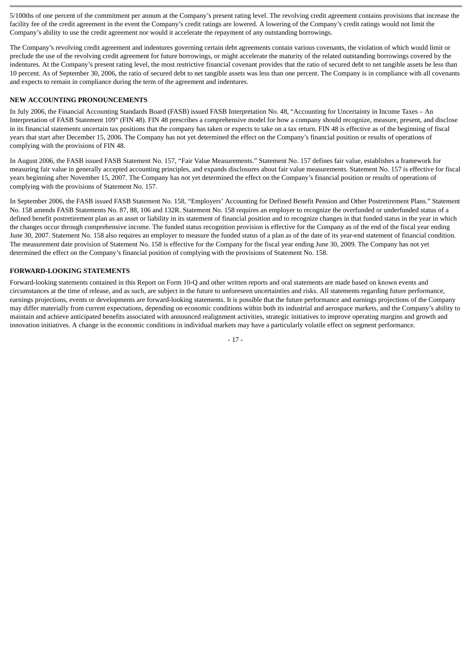5/100ths of one percent of the commitment per annum at the Company's present rating level. The revolving credit agreement contains provisions that increase the facility fee of the credit agreement in the event the Company's credit ratings are lowered. A lowering of the Company's credit ratings would not limit the Company's ability to use the credit agreement nor would it accelerate the repayment of any outstanding borrowings.

The Company's revolving credit agreement and indentures governing certain debt agreements contain various covenants, the violation of which would limit or preclude the use of the revolving credit agreement for future borrowings, or might accelerate the maturity of the related outstanding borrowings covered by the indentures. At the Company's present rating level, the most restrictive financial covenant provides that the ratio of secured debt to net tangible assets be less than 10 percent. As of September 30, 2006, the ratio of secured debt to net tangible assets was less than one percent. The Company is in compliance with all covenants and expects to remain in compliance during the term of the agreement and indentures.

#### **NEW ACCOUNTING PRONOUNCEMENTS**

In July 2006, the Financial Accounting Standards Board (FASB) issued FASB Interpretation No. 48, "Accounting for Uncertainty in Income Taxes – An Interpretation of FASB Statement 109" (FIN 48). FIN 48 prescribes a comprehensive model for how a company should recognize, measure, present, and disclose in its financial statements uncertain tax positions that the company has taken or expects to take on a tax return. FIN 48 is effective as of the beginning of fiscal years that start after December 15, 2006. The Company has not yet determined the effect on the Company's financial position or results of operations of complying with the provisions of FIN 48.

In August 2006, the FASB issued FASB Statement No. 157, "Fair Value Measurements." Statement No. 157 defines fair value, establishes a framework for measuring fair value in generally accepted accounting principles, and expands disclosures about fair value measurements. Statement No. 157 is effective for fiscal years beginning after November 15, 2007. The Company has not yet determined the effect on the Company's financial position or results of operations of complying with the provisions of Statement No. 157.

In September 2006, the FASB issued FASB Statement No. 158, "Employers' Accounting for Defined Benefit Pension and Other Postretirement Plans." Statement No. 158 amends FASB Statements No. 87, 88, 106 and 132R. Statement No. 158 requires an employer to recognize the overfunded or underfunded status of a defined benefit postretirement plan as an asset or liability in its statement of financial position and to recognize changes in that funded status in the year in which the changes occur through comprehensive income. The funded status recognition provision is effective for the Company as of the end of the fiscal year ending June 30, 2007. Statement No. 158 also requires an employer to measure the funded status of a plan as of the date of its year-end statement of financial condition. The measurement date provision of Statement No. 158 is effective for the Company for the fiscal year ending June 30, 2009. The Company has not yet determined the effect on the Company's financial position of complying with the provisions of Statement No. 158.

#### **FORWARD-LOOKING STATEMENTS**

Forward-looking statements contained in this Report on Form 10-Q and other written reports and oral statements are made based on known events and circumstances at the time of release, and as such, are subject in the future to unforeseen uncertainties and risks. All statements regarding future performance, earnings projections, events or developments are forward-looking statements. It is possible that the future performance and earnings projections of the Company may differ materially from current expectations, depending on economic conditions within both its industrial and aerospace markets, and the Company's ability to maintain and achieve anticipated benefits associated with announced realignment activities, strategic initiatives to improve operating margins and growth and innovation initiatives. A change in the economic conditions in individual markets may have a particularly volatile effect on segment performance.

- 17 -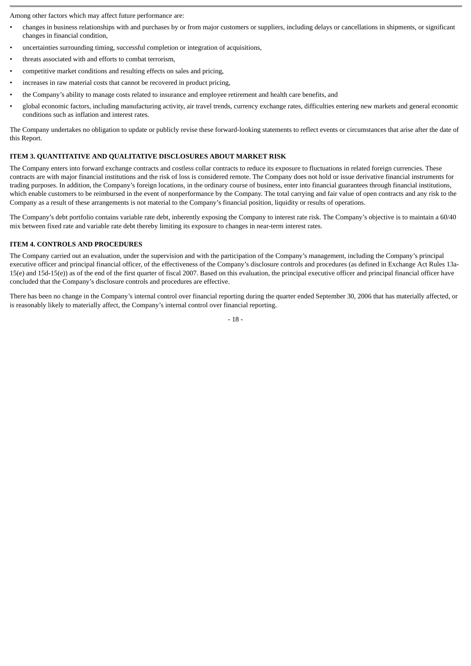Among other factors which may affect future performance are:

- changes in business relationships with and purchases by or from major customers or suppliers, including delays or cancellations in shipments, or significant changes in financial condition,
- uncertainties surrounding timing, successful completion or integration of acquisitions,
- threats associated with and efforts to combat terrorism,
- competitive market conditions and resulting effects on sales and pricing,
- increases in raw material costs that cannot be recovered in product pricing,
- the Company's ability to manage costs related to insurance and employee retirement and health care benefits, and
- global economic factors, including manufacturing activity, air travel trends, currency exchange rates, difficulties entering new markets and general economic conditions such as inflation and interest rates.

The Company undertakes no obligation to update or publicly revise these forward-looking statements to reflect events or circumstances that arise after the date of this Report.

#### **ITEM 3. QUANTITATIVE AND QUALITATIVE DISCLOSURES ABOUT MARKET RISK**

The Company enters into forward exchange contracts and costless collar contracts to reduce its exposure to fluctuations in related foreign currencies. These contracts are with major financial institutions and the risk of loss is considered remote. The Company does not hold or issue derivative financial instruments for trading purposes. In addition, the Company's foreign locations, in the ordinary course of business, enter into financial guarantees through financial institutions, which enable customers to be reimbursed in the event of nonperformance by the Company. The total carrying and fair value of open contracts and any risk to the Company as a result of these arrangements is not material to the Company's financial position, liquidity or results of operations.

The Company's debt portfolio contains variable rate debt, inherently exposing the Company to interest rate risk. The Company's objective is to maintain a 60/40 mix between fixed rate and variable rate debt thereby limiting its exposure to changes in near-term interest rates.

#### **ITEM 4. CONTROLS AND PROCEDURES**

The Company carried out an evaluation, under the supervision and with the participation of the Company's management, including the Company's principal executive officer and principal financial officer, of the effectiveness of the Company's disclosure controls and procedures (as defined in Exchange Act Rules 13a-15(e) and 15d-15(e)) as of the end of the first quarter of fiscal 2007. Based on this evaluation, the principal executive officer and principal financial officer have concluded that the Company's disclosure controls and procedures are effective.

There has been no change in the Company's internal control over financial reporting during the quarter ended September 30, 2006 that has materially affected, or is reasonably likely to materially affect, the Company's internal control over financial reporting.

- 18 -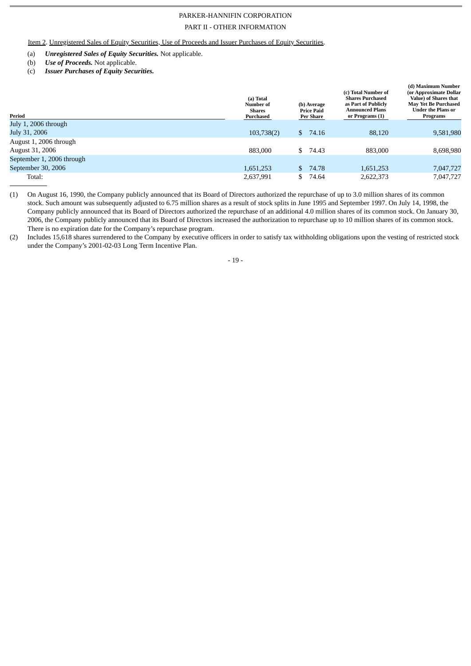# PARKER-HANNIFIN CORPORATION PART II - OTHER INFORMATION

# Item 2. Unregistered Sales of Equity Securities, Use of Proceeds and Issuer Purchases of Equity Securities.

- (a) *Unregistered Sales of Equity Securities.* Not applicable.
- (b) *Use of Proceeds.* Not applicable.
- (c) *Issuer Purchases of Equity Securities.*

| Period                    | (a) Total<br>Number of<br><b>Shares</b><br>Purchased | (b) Average<br><b>Price Paid</b><br>Per Share | (c) Total Number of<br><b>Shares Purchased</b><br>as Part of Publicly<br><b>Announced Plans</b><br>or Programs (1) | талинин тишет<br>(or Approximate Dollar<br>Value) of Shares that<br><b>May Yet Be Purchased</b><br><b>Under the Plans or</b><br>Programs |
|---------------------------|------------------------------------------------------|-----------------------------------------------|--------------------------------------------------------------------------------------------------------------------|------------------------------------------------------------------------------------------------------------------------------------------|
| July 1, 2006 through      |                                                      |                                               |                                                                                                                    |                                                                                                                                          |
| July 31, 2006             | 103,738(2)                                           | \$74.16                                       | 88,120                                                                                                             | 9,581,980                                                                                                                                |
| August 1, 2006 through    |                                                      |                                               |                                                                                                                    |                                                                                                                                          |
| August 31, 2006           | 883,000                                              | \$<br>74.43                                   | 883,000                                                                                                            | 8,698,980                                                                                                                                |
| September 1, 2006 through |                                                      |                                               |                                                                                                                    |                                                                                                                                          |
| September 30, 2006        | 1,651,253                                            | \$74.78                                       | 1,651,253                                                                                                          | 7,047,727                                                                                                                                |
| Total:                    | 2,637,991                                            | 74.64<br>\$                                   | 2,622,373                                                                                                          | 7,047,727                                                                                                                                |
|                           |                                                      |                                               |                                                                                                                    |                                                                                                                                          |

**(d) Maximum Number**

(1) On August 16, 1990, the Company publicly announced that its Board of Directors authorized the repurchase of up to 3.0 million shares of its common stock. Such amount was subsequently adjusted to 6.75 million shares as a result of stock splits in June 1995 and September 1997. On July 14, 1998, the Company publicly announced that its Board of Directors authorized the repurchase of an additional 4.0 million shares of its common stock. On January 30, 2006, the Company publicly announced that its Board of Directors increased the authorization to repurchase up to 10 million shares of its common stock. There is no expiration date for the Company's repurchase program.

(2) Includes 15,618 shares surrendered to the Company by executive officers in order to satisfy tax withholding obligations upon the vesting of restricted stock under the Company's 2001-02-03 Long Term Incentive Plan.

- 19 -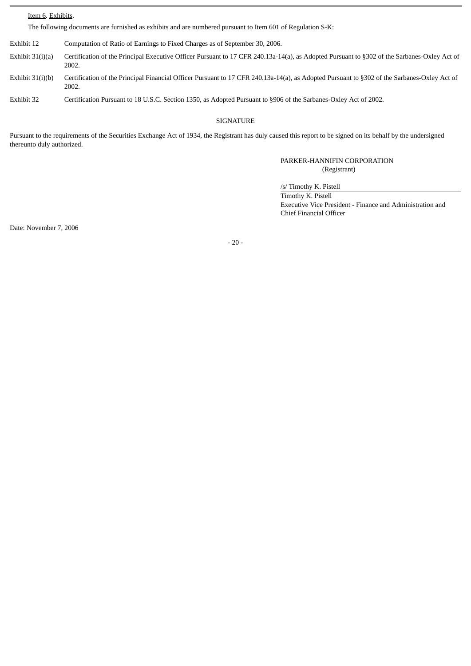### Item 6. Exhibits.

The following documents are furnished as exhibits and are numbered pursuant to Item 601 of Regulation S-K:

| Exhibit 12         | Computation of Ratio of Earnings to Fixed Charges as of September 30, 2006.                                                                          |
|--------------------|------------------------------------------------------------------------------------------------------------------------------------------------------|
| Exhibit $31(i)(a)$ | Certification of the Principal Executive Officer Pursuant to 17 CFR 240.13a-14(a), as Adopted Pursuant to §302 of the Sarbanes-Oxley Act of<br>2002. |
| Exhibit $31(i)(b)$ | Certification of the Principal Financial Officer Pursuant to 17 CFR 240.13a-14(a), as Adopted Pursuant to §302 of the Sarbanes-Oxley Act of<br>2002. |
| Exhibit 32         | Certification Pursuant to 18 U.S.C. Section 1350, as Adopted Pursuant to §906 of the Sarbanes-Oxley Act of 2002.                                     |

#### SIGNATURE

Pursuant to the requirements of the Securities Exchange Act of 1934, the Registrant has duly caused this report to be signed on its behalf by the undersigned thereunto duly authorized.

# PARKER-HANNIFIN CORPORATION (Registrant)

/s/ Timothy K. Pistell

Timothy K. Pistell Executive Vice President - Finance and Administration and Chief Financial Officer

Date: November 7, 2006

- 20 -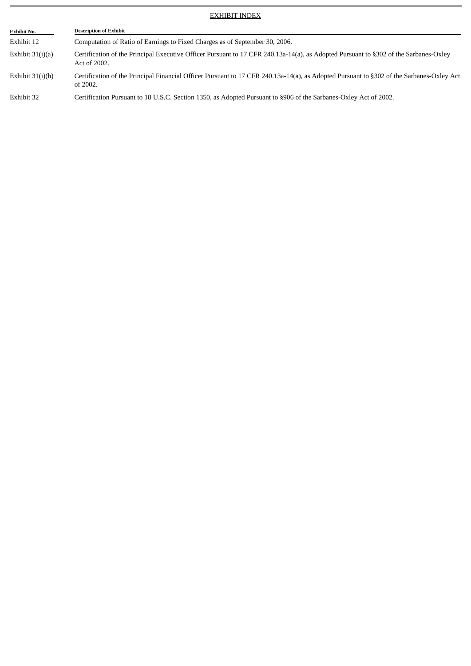# EXHIBIT INDEX

| <b>Exhibit No.</b> | <b>Description of Exhibit</b>                                                                                                                           |
|--------------------|---------------------------------------------------------------------------------------------------------------------------------------------------------|
| Exhibit 12         | Computation of Ratio of Earnings to Fixed Charges as of September 30, 2006.                                                                             |
| Exhibit $31(i)(a)$ | Certification of the Principal Executive Officer Pursuant to 17 CFR 240.13a-14(a), as Adopted Pursuant to §302 of the Sarbanes-Oxley<br>Act of 2002.    |
| Exhibit $31(i)(b)$ | Certification of the Principal Financial Officer Pursuant to 17 CFR 240.13a-14(a), as Adopted Pursuant to §302 of the Sarbanes-Oxley Act<br>of $2002$ . |
| Exhibit 32         | Certification Pursuant to 18 U.S.C. Section 1350, as Adopted Pursuant to §906 of the Sarbanes-Oxley Act of 2002.                                        |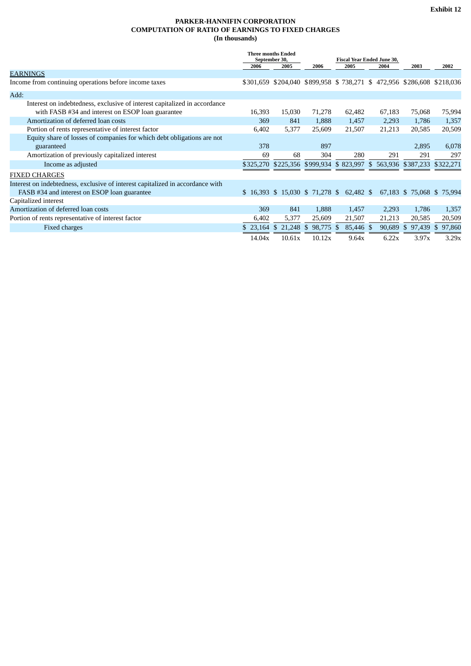# **PARKER-HANNIFIN CORPORATION COMPUTATION OF RATIO OF EARNINGS TO FIXED CHARGES (In thousands)**

|                                                                                | <b>Three months Ended</b><br>September 30, |        |                   |                                         | <b>Fiscal Year Ended June 30,</b>                                     |                            |              |
|--------------------------------------------------------------------------------|--------------------------------------------|--------|-------------------|-----------------------------------------|-----------------------------------------------------------------------|----------------------------|--------------|
|                                                                                | 2006                                       | 2005   | 2006              | 2005                                    | 2004                                                                  | 2003                       | 2002         |
| EARNINGS                                                                       |                                            |        |                   |                                         |                                                                       |                            |              |
| Income from continuing operations before income taxes                          |                                            |        |                   |                                         | \$301,659 \$204,040 \$899,958 \$738,271 \$472,956 \$286,608 \$218,036 |                            |              |
| Add:                                                                           |                                            |        |                   |                                         |                                                                       |                            |              |
| Interest on indebtedness, exclusive of interest capitalized in accordance      |                                            |        |                   |                                         |                                                                       |                            |              |
| with FASB #34 and interest on ESOP loan guarantee                              | 16,393                                     | 15,030 | 71,278            | 62,482                                  | 67,183                                                                | 75,068                     | 75,994       |
| Amortization of deferred loan costs                                            | 369                                        | 841    | 1,888             | 1,457                                   | 2,293                                                                 | 1,786                      | 1,357        |
| Portion of rents representative of interest factor                             | 6,402                                      | 5,377  | 25,609            | 21,507                                  | 21,213                                                                | 20,585                     | 20,509       |
| Equity share of losses of companies for which debt obligations are not         |                                            |        |                   |                                         |                                                                       |                            |              |
| guaranteed                                                                     | 378                                        |        | 897               |                                         |                                                                       | 2,895                      | 6,078        |
| Amortization of previously capitalized interest                                | 69                                         | 68     | 304               | 280                                     | 291                                                                   | 291                        | 297          |
| Income as adjusted                                                             |                                            |        |                   |                                         | \$325,270 \$225,356 \$999,934 \$823,997 \$563,936 \$387,233 \$322,271 |                            |              |
| <b>FIXED CHARGES</b>                                                           |                                            |        |                   |                                         |                                                                       |                            |              |
| Interest on indebtedness, exclusive of interest capitalized in accordance with |                                            |        |                   |                                         |                                                                       |                            |              |
| FASB #34 and interest on ESOP loan guarantee                                   |                                            |        |                   | $$16,393 \$15,030 \$71,278 \$62,482 \$$ |                                                                       | 67,183 \$ 75,068 \$ 75,994 |              |
| Capitalized interest                                                           |                                            |        |                   |                                         |                                                                       |                            |              |
| Amortization of deferred loan costs                                            | 369                                        | 841    | 1,888             | 1,457                                   | 2,293                                                                 | 1,786                      | 1,357        |
| Portion of rents representative of interest factor                             | 6,402                                      | 5,377  | 25,609            | 21,507                                  | 21,213                                                                | 20,585                     | 20,509       |
| <b>Fixed charges</b>                                                           | $23,164$ \$                                | 21,248 | 98,775 \$<br>- \$ | 85,446 \$                               | 90,689                                                                | \$97,439                   | 97,860<br>S. |
|                                                                                | 14.04x                                     | 10.61x | 10.12x            | 9.64x                                   | 6.22x                                                                 | 3.97x                      | 3.29x        |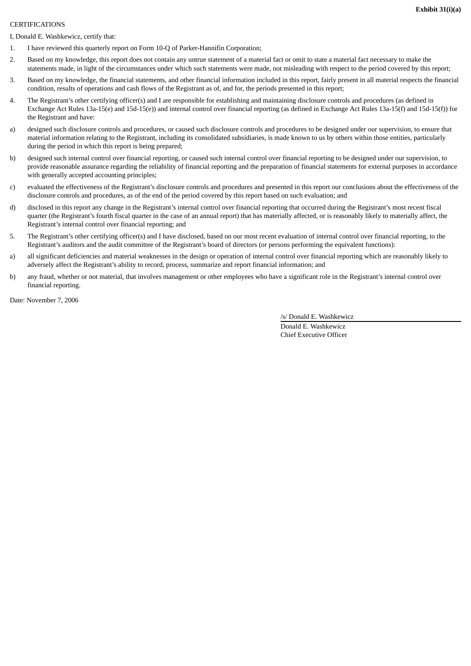#### **CERTIFICATIONS**

I, Donald E. Washkewicz, certify that:

- 1. I have reviewed this quarterly report on Form 10-Q of Parker-Hannifin Corporation;
- 2. Based on my knowledge, this report does not contain any untrue statement of a material fact or omit to state a material fact necessary to make the statements made, in light of the circumstances under which such statements were made, not misleading with respect to the period covered by this report;
- 3. Based on my knowledge, the financial statements, and other financial information included in this report, fairly present in all material respects the financial condition, results of operations and cash flows of the Registrant as of, and for, the periods presented in this report;
- 4. The Registrant's other certifying officer(s) and I are responsible for establishing and maintaining disclosure controls and procedures (as defined in Exchange Act Rules 13a-15(e) and 15d-15(e)) and internal control over financial reporting (as defined in Exchange Act Rules 13a-15(f) and 15d-15(f)) for the Registrant and have:
- a) designed such disclosure controls and procedures, or caused such disclosure controls and procedures to be designed under our supervision, to ensure that material information relating to the Registrant, including its consolidated subsidiaries, is made known to us by others within those entities, particularly during the period in which this report is being prepared;
- b) designed such internal control over financial reporting, or caused such internal control over financial reporting to be designed under our supervision, to provide reasonable assurance regarding the reliability of financial reporting and the preparation of financial statements for external purposes in accordance with generally accepted accounting principles;
- c) evaluated the effectiveness of the Registrant's disclosure controls and procedures and presented in this report our conclusions about the effectiveness of the disclosure controls and procedures, as of the end of the period covered by this report based on such evaluation; and
- d) disclosed in this report any change in the Registrant's internal control over financial reporting that occurred during the Registrant's most recent fiscal quarter (the Registrant's fourth fiscal quarter in the case of an annual report) that has materially affected, or is reasonably likely to materially affect, the Registrant's internal control over financial reporting; and
- 5. The Registrant's other certifying officer(s) and I have disclosed, based on our most recent evaluation of internal control over financial reporting, to the Registrant's auditors and the audit committee of the Registrant's board of directors (or persons performing the equivalent functions):
- a) all significant deficiencies and material weaknesses in the design or operation of internal control over financial reporting which are reasonably likely to adversely affect the Registrant's ability to record, process, summarize and report financial information; and
- b) any fraud, whether or not material, that involves management or other employees who have a significant role in the Registrant's internal control over financial reporting.

Date: November 7, 2006

/s/ Donald E. Washkewicz Donald E. Washkewicz Chief Executive Officer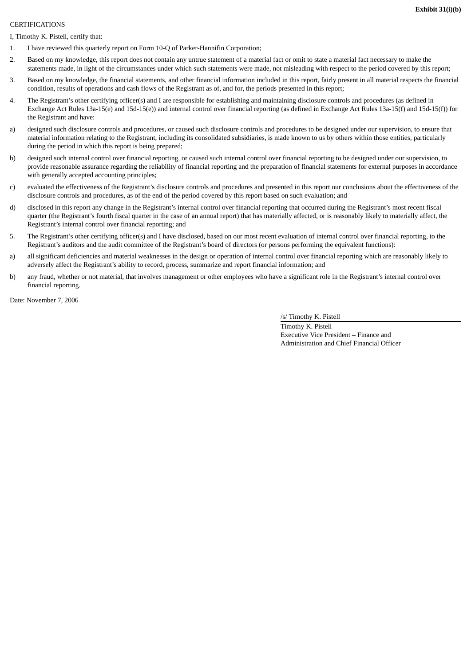#### **CERTIFICATIONS**

I, Timothy K. Pistell, certify that:

- 1. I have reviewed this quarterly report on Form 10-Q of Parker-Hannifin Corporation;
- 2. Based on my knowledge, this report does not contain any untrue statement of a material fact or omit to state a material fact necessary to make the statements made, in light of the circumstances under which such statements were made, not misleading with respect to the period covered by this report;
- 3. Based on my knowledge, the financial statements, and other financial information included in this report, fairly present in all material respects the financial condition, results of operations and cash flows of the Registrant as of, and for, the periods presented in this report;
- 4. The Registrant's other certifying officer(s) and I are responsible for establishing and maintaining disclosure controls and procedures (as defined in Exchange Act Rules 13a-15(e) and 15d-15(e)) and internal control over financial reporting (as defined in Exchange Act Rules 13a-15(f) and 15d-15(f)) for the Registrant and have:
- a) designed such disclosure controls and procedures, or caused such disclosure controls and procedures to be designed under our supervision, to ensure that material information relating to the Registrant, including its consolidated subsidiaries, is made known to us by others within those entities, particularly during the period in which this report is being prepared;
- b) designed such internal control over financial reporting, or caused such internal control over financial reporting to be designed under our supervision, to provide reasonable assurance regarding the reliability of financial reporting and the preparation of financial statements for external purposes in accordance with generally accepted accounting principles;
- c) evaluated the effectiveness of the Registrant's disclosure controls and procedures and presented in this report our conclusions about the effectiveness of the disclosure controls and procedures, as of the end of the period covered by this report based on such evaluation; and
- d) disclosed in this report any change in the Registrant's internal control over financial reporting that occurred during the Registrant's most recent fiscal quarter (the Registrant's fourth fiscal quarter in the case of an annual report) that has materially affected, or is reasonably likely to materially affect, the Registrant's internal control over financial reporting; and
- 5. The Registrant's other certifying officer(s) and I have disclosed, based on our most recent evaluation of internal control over financial reporting, to the Registrant's auditors and the audit committee of the Registrant's board of directors (or persons performing the equivalent functions):
- a) all significant deficiencies and material weaknesses in the design or operation of internal control over financial reporting which are reasonably likely to adversely affect the Registrant's ability to record, process, summarize and report financial information; and
- b) any fraud, whether or not material, that involves management or other employees who have a significant role in the Registrant's internal control over financial reporting.

Date: November 7, 2006

/s/ Timothy K. Pistell

Timothy K. Pistell Executive Vice President – Finance and Administration and Chief Financial Officer